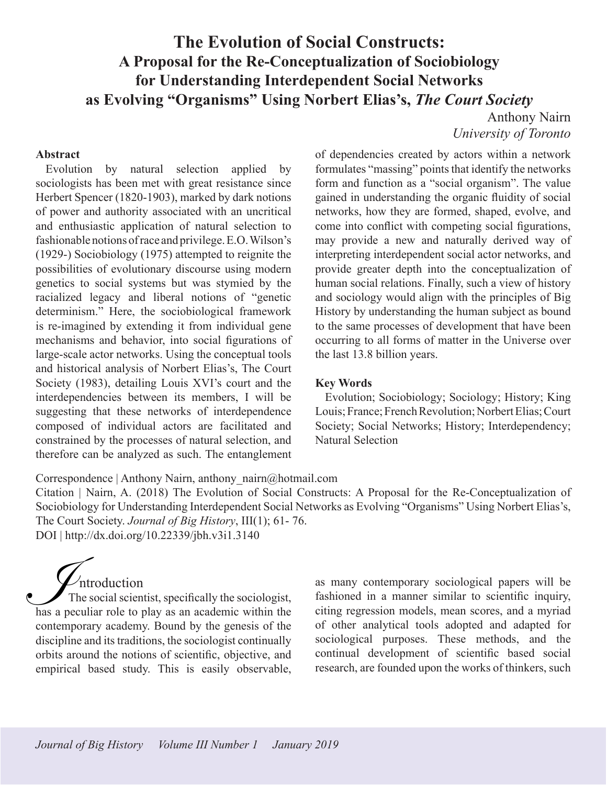# **The Evolution of Social Constructs: A Proposal for the Re-Conceptualization of Sociobiology for Understanding Interdependent Social Networks as Evolving "Organisms" Using Norbert Elias's,** *The Court Society*

Anthony Nairn *University of Toronto*

#### **Abstract**

Evolution by natural selection applied by sociologists has been met with great resistance since Herbert Spencer (1820-1903), marked by dark notions of power and authority associated with an uncritical and enthusiastic application of natural selection to fashionable notions of race and privilege. E.O. Wilson's (1929-) Sociobiology (1975) attempted to reignite the possibilities of evolutionary discourse using modern genetics to social systems but was stymied by the racialized legacy and liberal notions of "genetic determinism." Here, the sociobiological framework is re-imagined by extending it from individual gene mechanisms and behavior, into social figurations of large-scale actor networks. Using the conceptual tools and historical analysis of Norbert Elias's, The Court Society (1983), detailing Louis XVI's court and the interdependencies between its members, I will be suggesting that these networks of interdependence composed of individual actors are facilitated and constrained by the processes of natural selection, and therefore can be analyzed as such. The entanglement

of dependencies created by actors within a network formulates "massing" points that identify the networks form and function as a "social organism". The value gained in understanding the organic fluidity of social networks, how they are formed, shaped, evolve, and come into conflict with competing social figurations, may provide a new and naturally derived way of interpreting interdependent social actor networks, and provide greater depth into the conceptualization of human social relations. Finally, such a view of history and sociology would align with the principles of Big History by understanding the human subject as bound to the same processes of development that have been occurring to all forms of matter in the Universe over the last 13.8 billion years.

#### **Key Words**

Evolution; Sociobiology; Sociology; History; King Louis; France; French Revolution; Norbert Elias; Court Society; Social Networks; History; Interdependency; Natural Selection

#### Correspondence | Anthony Nairn, anthony\_nairn@hotmail.com

Citation | Nairn, A. (2018) The Evolution of Social Constructs: A Proposal for the Re-Conceptualization of Sociobiology for Understanding Interdependent Social Networks as Evolving "Organisms" Using Norbert Elias's, The Court Society. *Journal of Big History*, III(1); 61- 76. DOI | http://dx.doi.org/10.22339/jbh.v3i1.3140

 $\nu$ ntroduction The social scientist, specifically the sociologist, Introduction<br>The social scientist, specifically the sociologist,<br>has a peculiar role to play as an academic within the contemporary academy. Bound by the genesis of the discipline and its traditions, the sociologist continually orbits around the notions of scientific, objective, and empirical based study. This is easily observable,

as many contemporary sociological papers will be fashioned in a manner similar to scientific inquiry, citing regression models, mean scores, and a myriad of other analytical tools adopted and adapted for sociological purposes. These methods, and the continual development of scientific based social research, are founded upon the works of thinkers, such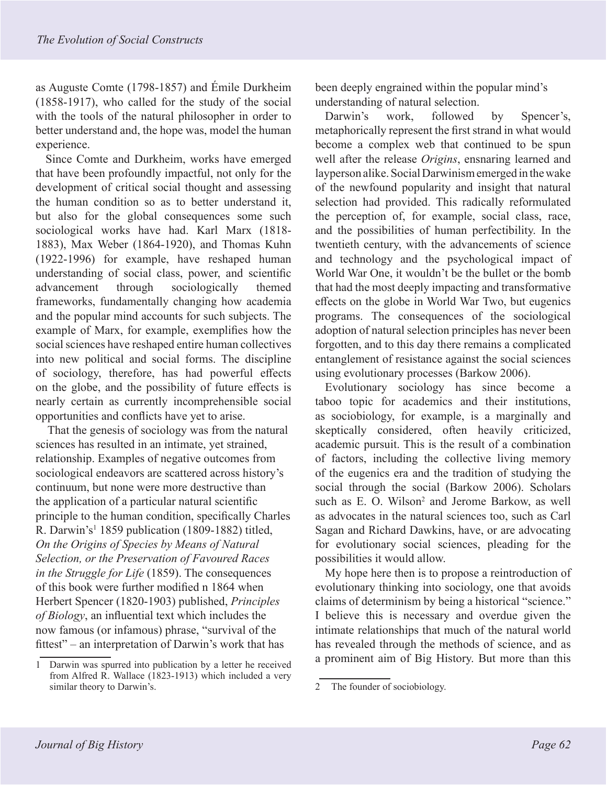as Auguste Comte (1798-1857) and Émile Durkheim (1858-1917), who called for the study of the social with the tools of the natural philosopher in order to better understand and, the hope was, model the human experience.

Since Comte and Durkheim, works have emerged that have been profoundly impactful, not only for the development of critical social thought and assessing the human condition so as to better understand it, but also for the global consequences some such sociological works have had. Karl Marx (1818- 1883), Max Weber (1864-1920), and Thomas Kuhn (1922-1996) for example, have reshaped human understanding of social class, power, and scientific advancement through sociologically themed frameworks, fundamentally changing how academia and the popular mind accounts for such subjects. The example of Marx, for example, exemplifies how the social sciences have reshaped entire human collectives into new political and social forms. The discipline of sociology, therefore, has had powerful effects on the globe, and the possibility of future effects is nearly certain as currently incomprehensible social opportunities and conflicts have yet to arise.

That the genesis of sociology was from the natural sciences has resulted in an intimate, yet strained, relationship. Examples of negative outcomes from sociological endeavors are scattered across history's continuum, but none were more destructive than the application of a particular natural scientific principle to the human condition, specifically Charles R. Darwin's<sup>1</sup> 1859 publication (1809-1882) titled, *On the Origins of Species by Means of Natural Selection, or the Preservation of Favoured Races in the Struggle for Life* (1859). The consequences of this book were further modified n 1864 when Herbert Spencer (1820-1903) published, *Principles of Biology*, an influential text which includes the now famous (or infamous) phrase, "survival of the fittest" – an interpretation of Darwin's work that has

been deeply engrained within the popular mind's understanding of natural selection.

Darwin's work, followed by Spencer's, metaphorically represent the first strand in what would become a complex web that continued to be spun well after the release *Origins*, ensnaring learned and layperson alike. Social Darwinism emerged in the wake of the newfound popularity and insight that natural selection had provided. This radically reformulated the perception of, for example, social class, race, and the possibilities of human perfectibility. In the twentieth century, with the advancements of science and technology and the psychological impact of World War One, it wouldn't be the bullet or the bomb that had the most deeply impacting and transformative effects on the globe in World War Two, but eugenics programs. The consequences of the sociological adoption of natural selection principles has never been forgotten, and to this day there remains a complicated entanglement of resistance against the social sciences using evolutionary processes (Barkow 2006).

Evolutionary sociology has since become a taboo topic for academics and their institutions, as sociobiology, for example, is a marginally and skeptically considered, often heavily criticized, academic pursuit. This is the result of a combination of factors, including the collective living memory of the eugenics era and the tradition of studying the social through the social (Barkow 2006). Scholars such as E. O. Wilson<sup>2</sup> and Jerome Barkow, as well as advocates in the natural sciences too, such as Carl Sagan and Richard Dawkins, have, or are advocating for evolutionary social sciences, pleading for the possibilities it would allow.

My hope here then is to propose a reintroduction of evolutionary thinking into sociology, one that avoids claims of determinism by being a historical "science." I believe this is necessary and overdue given the intimate relationships that much of the natural world has revealed through the methods of science, and as a prominent aim of Big History. But more than this

<sup>1</sup> Darwin was spurred into publication by a letter he received from Alfred R. Wallace (1823-1913) which included a very similar theory to Darwin's.

<sup>2</sup> The founder of sociobiology.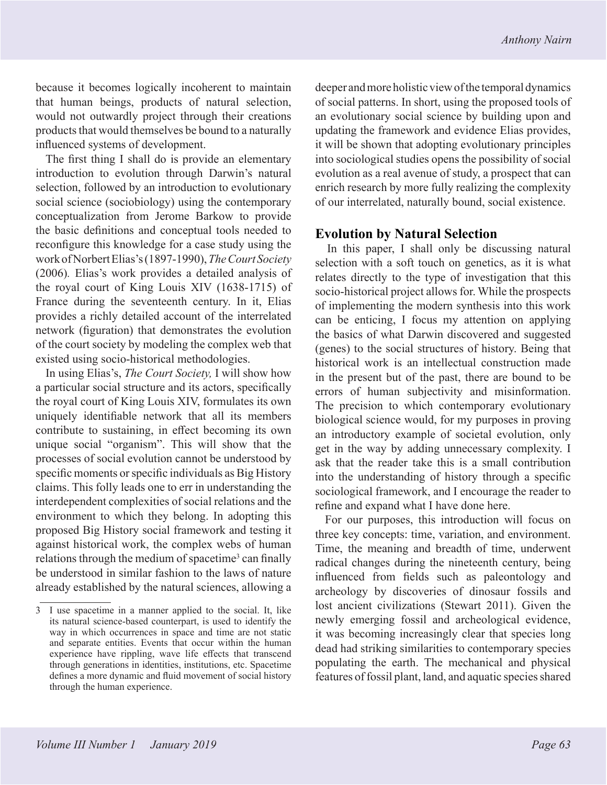because it becomes logically incoherent to maintain that human beings, products of natural selection, would not outwardly project through their creations products that would themselves be bound to a naturally influenced systems of development.

The first thing I shall do is provide an elementary introduction to evolution through Darwin's natural selection, followed by an introduction to evolutionary social science (sociobiology) using the contemporary conceptualization from Jerome Barkow to provide the basic definitions and conceptual tools needed to reconfigure this knowledge for a case study using the work of Norbert Elias's (1897-1990), *The Court Society*  (2006)*.* Elias's work provides a detailed analysis of the royal court of King Louis XIV (1638-1715) of France during the seventeenth century. In it, Elias provides a richly detailed account of the interrelated network (figuration) that demonstrates the evolution of the court society by modeling the complex web that existed using socio-historical methodologies.

In using Elias's, *The Court Society,* I will show how a particular social structure and its actors, specifically the royal court of King Louis XIV, formulates its own uniquely identifiable network that all its members contribute to sustaining, in effect becoming its own unique social "organism". This will show that the processes of social evolution cannot be understood by specific moments or specific individuals as Big History claims. This folly leads one to err in understanding the interdependent complexities of social relations and the environment to which they belong. In adopting this proposed Big History social framework and testing it against historical work, the complex webs of human relations through the medium of spacetime<sup>3</sup> can finally be understood in similar fashion to the laws of nature already established by the natural sciences, allowing a

deeper and more holistic view of the temporal dynamics of social patterns. In short, using the proposed tools of an evolutionary social science by building upon and updating the framework and evidence Elias provides, it will be shown that adopting evolutionary principles into sociological studies opens the possibility of social evolution as a real avenue of study, a prospect that can enrich research by more fully realizing the complexity of our interrelated, naturally bound, social existence.

#### **Evolution by Natural Selection**

In this paper, I shall only be discussing natural selection with a soft touch on genetics, as it is what relates directly to the type of investigation that this socio-historical project allows for. While the prospects of implementing the modern synthesis into this work can be enticing, I focus my attention on applying the basics of what Darwin discovered and suggested (genes) to the social structures of history. Being that historical work is an intellectual construction made in the present but of the past, there are bound to be errors of human subjectivity and misinformation. The precision to which contemporary evolutionary biological science would, for my purposes in proving an introductory example of societal evolution, only get in the way by adding unnecessary complexity. I ask that the reader take this is a small contribution into the understanding of history through a specific sociological framework, and I encourage the reader to refine and expand what I have done here.

For our purposes, this introduction will focus on three key concepts: time, variation, and environment. Time, the meaning and breadth of time, underwent radical changes during the nineteenth century, being influenced from fields such as paleontology and archeology by discoveries of dinosaur fossils and lost ancient civilizations (Stewart 2011). Given the newly emerging fossil and archeological evidence, it was becoming increasingly clear that species long dead had striking similarities to contemporary species populating the earth. The mechanical and physical features of fossil plant, land, and aquatic species shared

<sup>3</sup> I use spacetime in a manner applied to the social. It, like its natural science-based counterpart, is used to identify the way in which occurrences in space and time are not static and separate entities. Events that occur within the human experience have rippling, wave life effects that transcend through generations in identities, institutions, etc. Spacetime defines a more dynamic and fluid movement of social history through the human experience.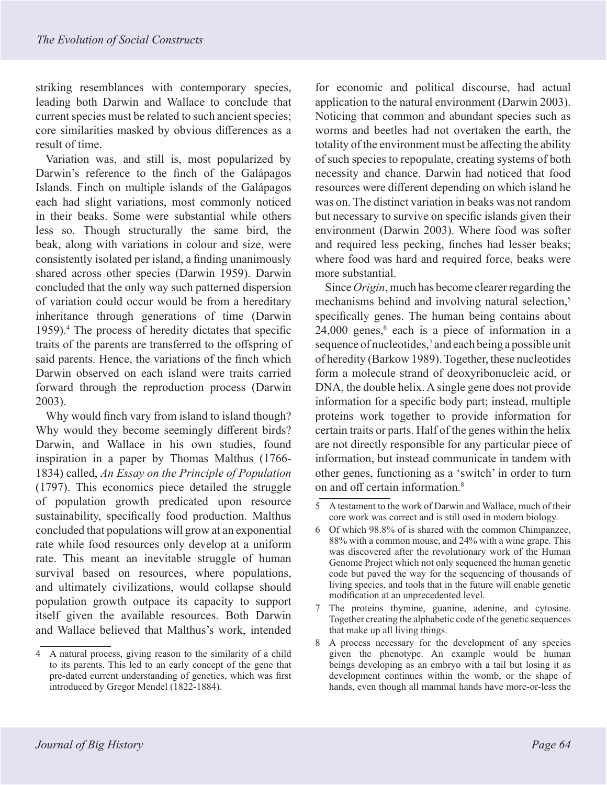striking resemblances with contemporary species, leading both Darwin and Wallace to conclude that current species must be related to such ancient species; core similarities masked by obvious differences as a result of time.

Variation was, and still is, most popularized by Darwin's reference to the finch of the Galápagos Islands. Finch on multiple islands of the Galápagos each had slight variations, most commonly noticed in their beaks. Some were substantial while others less so. Though structurally the same bird, the beak, along with variations in colour and size, were consistently isolated per island, a finding unanimously shared across other species (Darwin 1959). Darwin concluded that the only way such patterned dispersion of variation could occur would be from a hereditary inheritance through generations of time (Darwin 1959).4 The process of heredity dictates that specific traits of the parents are transferred to the offspring of said parents. Hence, the variations of the finch which Darwin observed on each island were traits carried forward through the reproduction process (Darwin 2003).

Why would finch vary from island to island though? Why would they become seemingly different birds? Darwin, and Wallace in his own studies, found inspiration in a paper by Thomas Malthus (1766- 1834) called, *An Essay on the Principle of Population*  (1797). This economics piece detailed the struggle of population growth predicated upon resource sustainability, specifically food production. Malthus concluded that populations will grow at an exponential rate while food resources only develop at a uniform rate. This meant an inevitable struggle of human survival based on resources, where populations, and ultimately civilizations, would collapse should population growth outpace its capacity to support itself given the available resources. Both Darwin and Wallace believed that Malthus's work, intended

for economic and political discourse, had actual application to the natural environment (Darwin 2003). Noticing that common and abundant species such as worms and beetles had not overtaken the earth, the totality of the environment must be affecting the ability of such species to repopulate, creating systems of both necessity and chance. Darwin had noticed that food resources were different depending on which island he was on. The distinct variation in beaks was not random but necessary to survive on specific islands given their environment (Darwin 2003). Where food was softer and required less pecking, finches had lesser beaks; where food was hard and required force, beaks were more substantial.

Since *Origin*, much has become clearer regarding the mechanisms behind and involving natural selection,<sup>5</sup> specifically genes. The human being contains about  $24,000$  genes,<sup>6</sup> each is a piece of information in a sequence of nucleotides,<sup>7</sup> and each being a possible unit of heredity (Barkow 1989). Together, these nucleotides form a molecule strand of deoxyribonucleic acid, or DNA, the double helix. A single gene does not provide information for a specific body part; instead, multiple proteins work together to provide information for certain traits or parts. Half of the genes within the helix are not directly responsible for any particular piece of information, but instead communicate in tandem with other genes, functioning as a 'switch' in order to turn on and off certain information.8

<sup>4</sup> A natural process, giving reason to the similarity of a child to its parents. This led to an early concept of the gene that pre-dated current understanding of genetics, which was first introduced by Gregor Mendel (1822-1884).

<sup>5</sup> A testament to the work of Darwin and Wallace, much of their core work was correct and is still used in modern biology.

<sup>6</sup> Of which 98.8% of is shared with the common Chimpanzee, 88% with a common mouse, and 24% with a wine grape*.* This was discovered after the revolutionary work of the Human Genome Project which not only sequenced the human genetic code but paved the way for the sequencing of thousands of living species, and tools that in the future will enable genetic modification at an unprecedented level.

<sup>7</sup> The proteins thymine, guanine, adenine, and cytosine. Together creating the alphabetic code of the genetic sequences that make up all living things.

<sup>8</sup> A process necessary for the development of any species given the phenotype. An example would be human beings developing as an embryo with a tail but losing it as development continues within the womb, or the shape of hands, even though all mammal hands have more-or-less the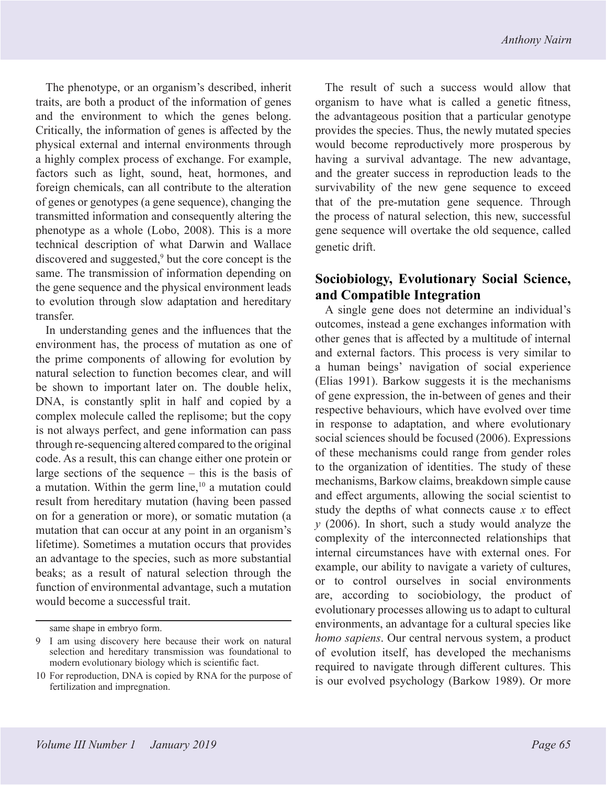The phenotype, or an organism's described, inherit traits, are both a product of the information of genes and the environment to which the genes belong. Critically, the information of genes is affected by the physical external and internal environments through a highly complex process of exchange. For example, factors such as light, sound, heat, hormones, and foreign chemicals, can all contribute to the alteration of genes or genotypes (a gene sequence), changing the transmitted information and consequently altering the phenotype as a whole (Lobo, 2008). This is a more technical description of what Darwin and Wallace discovered and suggested,<sup>9</sup> but the core concept is the same. The transmission of information depending on the gene sequence and the physical environment leads to evolution through slow adaptation and hereditary transfer.

In understanding genes and the influences that the environment has, the process of mutation as one of the prime components of allowing for evolution by natural selection to function becomes clear, and will be shown to important later on. The double helix, DNA, is constantly split in half and copied by a complex molecule called the replisome; but the copy is not always perfect, and gene information can pass through re-sequencing altered compared to the original code. As a result, this can change either one protein or large sections of the sequence – this is the basis of a mutation. Within the germ line,<sup>10</sup> a mutation could result from hereditary mutation (having been passed on for a generation or more), or somatic mutation (a mutation that can occur at any point in an organism's lifetime). Sometimes a mutation occurs that provides an advantage to the species, such as more substantial beaks; as a result of natural selection through the function of environmental advantage, such a mutation would become a successful trait.

The result of such a success would allow that organism to have what is called a genetic fitness, the advantageous position that a particular genotype provides the species. Thus, the newly mutated species would become reproductively more prosperous by having a survival advantage. The new advantage, and the greater success in reproduction leads to the survivability of the new gene sequence to exceed that of the pre-mutation gene sequence. Through the process of natural selection, this new, successful gene sequence will overtake the old sequence, called genetic drift.

## **Sociobiology, Evolutionary Social Science, and Compatible Integration**

A single gene does not determine an individual's outcomes, instead a gene exchanges information with other genes that is affected by a multitude of internal and external factors. This process is very similar to a human beings' navigation of social experience (Elias 1991). Barkow suggests it is the mechanisms of gene expression, the in-between of genes and their respective behaviours, which have evolved over time in response to adaptation, and where evolutionary social sciences should be focused (2006). Expressions of these mechanisms could range from gender roles to the organization of identities. The study of these mechanisms, Barkow claims, breakdown simple cause and effect arguments, allowing the social scientist to study the depths of what connects cause *x* to effect *y* (2006). In short, such a study would analyze the complexity of the interconnected relationships that internal circumstances have with external ones. For example, our ability to navigate a variety of cultures, or to control ourselves in social environments are, according to sociobiology, the product of evolutionary processes allowing us to adapt to cultural environments, an advantage for a cultural species like *homo sapiens*. Our central nervous system, a product of evolution itself, has developed the mechanisms required to navigate through different cultures. This is our evolved psychology (Barkow 1989). Or more

same shape in embryo form.

<sup>9</sup> I am using discovery here because their work on natural selection and hereditary transmission was foundational to modern evolutionary biology which is scientific fact.

<sup>10</sup> For reproduction, DNA is copied by RNA for the purpose of fertilization and impregnation.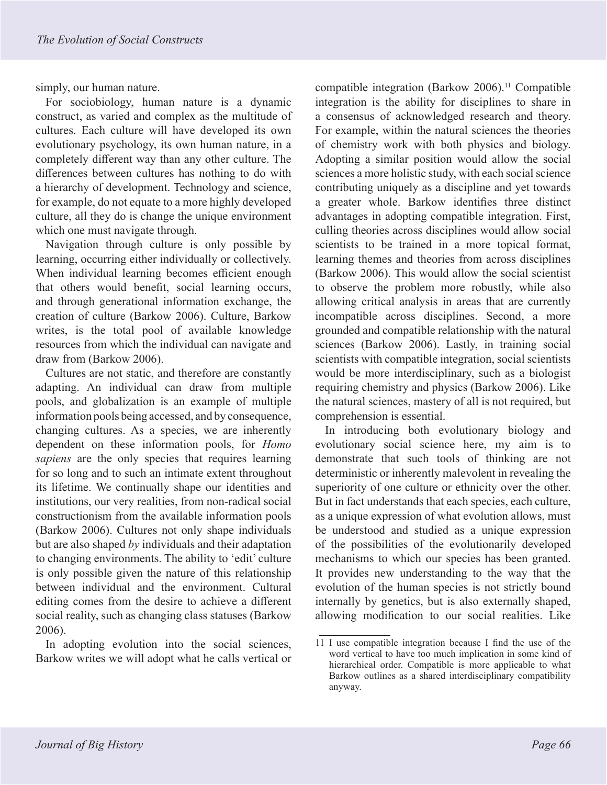simply, our human nature.

For sociobiology, human nature is a dynamic construct, as varied and complex as the multitude of cultures. Each culture will have developed its own evolutionary psychology, its own human nature, in a completely different way than any other culture. The differences between cultures has nothing to do with a hierarchy of development. Technology and science, for example, do not equate to a more highly developed culture, all they do is change the unique environment which one must navigate through.

Navigation through culture is only possible by learning, occurring either individually or collectively. When individual learning becomes efficient enough that others would benefit, social learning occurs, and through generational information exchange, the creation of culture (Barkow 2006). Culture, Barkow writes, is the total pool of available knowledge resources from which the individual can navigate and draw from (Barkow 2006).

Cultures are not static, and therefore are constantly adapting. An individual can draw from multiple pools, and globalization is an example of multiple information pools being accessed, and by consequence, changing cultures. As a species, we are inherently dependent on these information pools, for *Homo sapiens* are the only species that requires learning for so long and to such an intimate extent throughout its lifetime. We continually shape our identities and institutions, our very realities, from non-radical social constructionism from the available information pools (Barkow 2006). Cultures not only shape individuals but are also shaped *by* individuals and their adaptation to changing environments. The ability to 'edit' culture is only possible given the nature of this relationship between individual and the environment. Cultural editing comes from the desire to achieve a different social reality, such as changing class statuses (Barkow 2006).

In adopting evolution into the social sciences, Barkow writes we will adopt what he calls vertical or compatible integration (Barkow 2006).<sup>11</sup> Compatible integration is the ability for disciplines to share in a consensus of acknowledged research and theory. For example, within the natural sciences the theories of chemistry work with both physics and biology. Adopting a similar position would allow the social sciences a more holistic study, with each social science contributing uniquely as a discipline and yet towards a greater whole. Barkow identifies three distinct advantages in adopting compatible integration. First, culling theories across disciplines would allow social scientists to be trained in a more topical format, learning themes and theories from across disciplines (Barkow 2006). This would allow the social scientist to observe the problem more robustly, while also allowing critical analysis in areas that are currently incompatible across disciplines. Second, a more grounded and compatible relationship with the natural sciences (Barkow 2006). Lastly, in training social scientists with compatible integration, social scientists would be more interdisciplinary, such as a biologist requiring chemistry and physics (Barkow 2006). Like the natural sciences, mastery of all is not required, but comprehension is essential.

In introducing both evolutionary biology and evolutionary social science here, my aim is to demonstrate that such tools of thinking are not deterministic or inherently malevolent in revealing the superiority of one culture or ethnicity over the other. But in fact understands that each species, each culture, as a unique expression of what evolution allows, must be understood and studied as a unique expression of the possibilities of the evolutionarily developed mechanisms to which our species has been granted. It provides new understanding to the way that the evolution of the human species is not strictly bound internally by genetics, but is also externally shaped, allowing modification to our social realities. Like

<sup>11</sup> I use compatible integration because I find the use of the word vertical to have too much implication in some kind of hierarchical order. Compatible is more applicable to what Barkow outlines as a shared interdisciplinary compatibility anyway.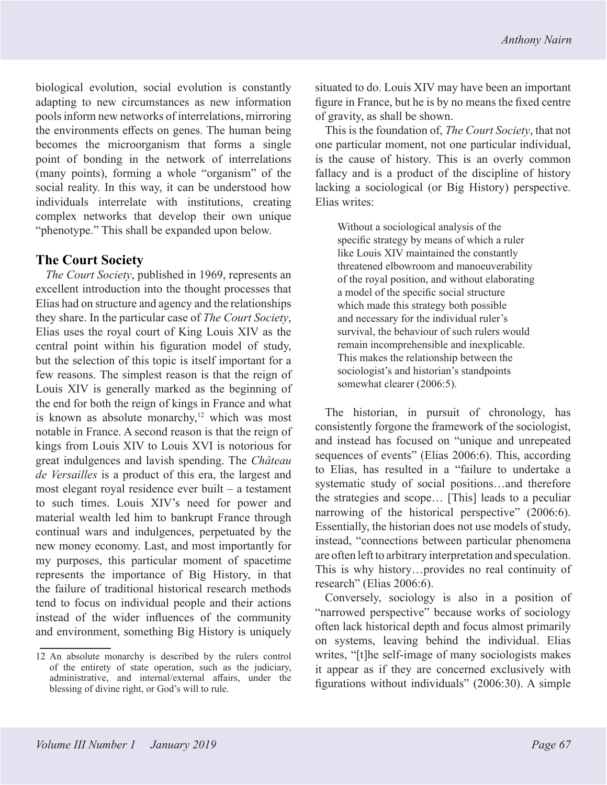biological evolution, social evolution is constantly adapting to new circumstances as new information pools inform new networks of interrelations, mirroring the environments effects on genes. The human being becomes the microorganism that forms a single point of bonding in the network of interrelations (many points), forming a whole "organism" of the social reality. In this way, it can be understood how individuals interrelate with institutions, creating complex networks that develop their own unique "phenotype." This shall be expanded upon below.

#### **The Court Society**

*The Court Society*, published in 1969, represents an excellent introduction into the thought processes that Elias had on structure and agency and the relationships they share. In the particular case of *The Court Society*, Elias uses the royal court of King Louis XIV as the central point within his figuration model of study, but the selection of this topic is itself important for a few reasons. The simplest reason is that the reign of Louis XIV is generally marked as the beginning of the end for both the reign of kings in France and what is known as absolute monarchy, $12$  which was most notable in France. A second reason is that the reign of kings from Louis XIV to Louis XVI is notorious for great indulgences and lavish spending. The *Château de Versailles* is a product of this era, the largest and most elegant royal residence ever built – a testament to such times. Louis XIV's need for power and material wealth led him to bankrupt France through continual wars and indulgences, perpetuated by the new money economy. Last, and most importantly for my purposes, this particular moment of spacetime represents the importance of Big History, in that the failure of traditional historical research methods tend to focus on individual people and their actions instead of the wider influences of the community and environment, something Big History is uniquely situated to do. Louis XIV may have been an important figure in France, but he is by no means the fixed centre of gravity, as shall be shown.

This is the foundation of, *The Court Society*, that not one particular moment, not one particular individual, is the cause of history. This is an overly common fallacy and is a product of the discipline of history lacking a sociological (or Big History) perspective. Elias writes:

Without a sociological analysis of the specific strategy by means of which a ruler like Louis XIV maintained the constantly threatened elbowroom and manoeuverability of the royal position, and without elaborating a model of the specific social structure which made this strategy both possible and necessary for the individual ruler's survival, the behaviour of such rulers would remain incomprehensible and inexplicable. This makes the relationship between the sociologist's and historian's standpoints somewhat clearer (2006:5).

The historian, in pursuit of chronology, has consistently forgone the framework of the sociologist, and instead has focused on "unique and unrepeated sequences of events" (Elias 2006:6). This, according to Elias, has resulted in a "failure to undertake a systematic study of social positions…and therefore the strategies and scope… [This] leads to a peculiar narrowing of the historical perspective" (2006:6). Essentially, the historian does not use models of study, instead, "connections between particular phenomena are often left to arbitrary interpretation and speculation. This is why history…provides no real continuity of research" (Elias 2006:6).

Conversely, sociology is also in a position of "narrowed perspective" because works of sociology often lack historical depth and focus almost primarily on systems, leaving behind the individual. Elias writes, "[t]he self-image of many sociologists makes it appear as if they are concerned exclusively with figurations without individuals" (2006:30). A simple

<sup>12</sup> An absolute monarchy is described by the rulers control of the entirety of state operation, such as the judiciary, administrative, and internal/external affairs, under the blessing of divine right, or God's will to rule.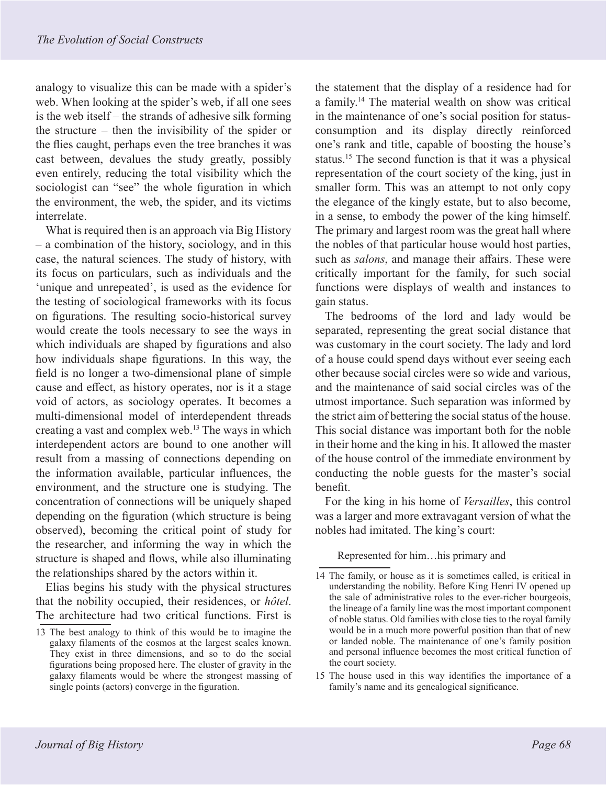analogy to visualize this can be made with a spider's web. When looking at the spider's web, if all one sees is the web itself – the strands of adhesive silk forming the structure – then the invisibility of the spider or the flies caught, perhaps even the tree branches it was cast between, devalues the study greatly, possibly even entirely, reducing the total visibility which the sociologist can "see" the whole figuration in which the environment, the web, the spider, and its victims interrelate.

What is required then is an approach via Big History – a combination of the history, sociology, and in this case, the natural sciences. The study of history, with its focus on particulars, such as individuals and the 'unique and unrepeated', is used as the evidence for the testing of sociological frameworks with its focus on figurations. The resulting socio-historical survey would create the tools necessary to see the ways in which individuals are shaped by figurations and also how individuals shape figurations. In this way, the field is no longer a two-dimensional plane of simple cause and effect, as history operates, nor is it a stage void of actors, as sociology operates. It becomes a multi-dimensional model of interdependent threads creating a vast and complex web.13 The ways in which interdependent actors are bound to one another will result from a massing of connections depending on the information available, particular influences, the environment, and the structure one is studying. The concentration of connections will be uniquely shaped depending on the figuration (which structure is being observed), becoming the critical point of study for the researcher, and informing the way in which the structure is shaped and flows, while also illuminating the relationships shared by the actors within it.

Elias begins his study with the physical structures that the nobility occupied, their residences, or *hôtel*. The architecture had two critical functions. First is the statement that the display of a residence had for a family.14 The material wealth on show was critical in the maintenance of one's social position for statusconsumption and its display directly reinforced one's rank and title, capable of boosting the house's status.15 The second function is that it was a physical representation of the court society of the king, just in smaller form. This was an attempt to not only copy the elegance of the kingly estate, but to also become, in a sense, to embody the power of the king himself. The primary and largest room was the great hall where the nobles of that particular house would host parties, such as *salons*, and manage their affairs. These were critically important for the family, for such social functions were displays of wealth and instances to gain status.

The bedrooms of the lord and lady would be separated, representing the great social distance that was customary in the court society. The lady and lord of a house could spend days without ever seeing each other because social circles were so wide and various, and the maintenance of said social circles was of the utmost importance. Such separation was informed by the strict aim of bettering the social status of the house. This social distance was important both for the noble in their home and the king in his. It allowed the master of the house control of the immediate environment by conducting the noble guests for the master's social benefit.

For the king in his home of *Versailles*, this control was a larger and more extravagant version of what the nobles had imitated. The king's court:

Represented for him…his primary and

15 The house used in this way identifies the importance of a family's name and its genealogical significance.

<sup>13</sup> The best analogy to think of this would be to imagine the galaxy filaments of the cosmos at the largest scales known. They exist in three dimensions, and so to do the social figurations being proposed here. The cluster of gravity in the galaxy filaments would be where the strongest massing of single points (actors) converge in the figuration.

<sup>14</sup> The family, or house as it is sometimes called, is critical in understanding the nobility. Before King Henri IV opened up the sale of administrative roles to the ever-richer bourgeois, the lineage of a family line was the most important component of noble status. Old families with close ties to the royal family would be in a much more powerful position than that of new or landed noble. The maintenance of one's family position and personal influence becomes the most critical function of the court society.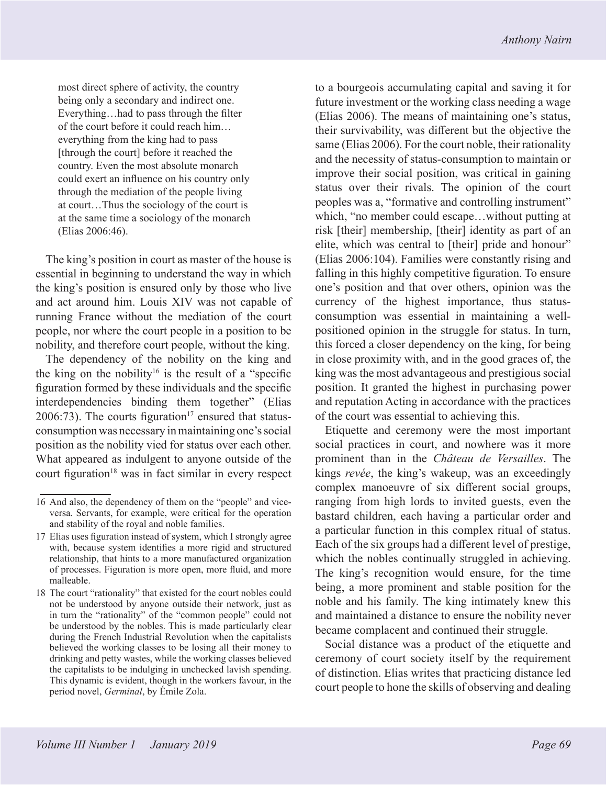most direct sphere of activity, the country being only a secondary and indirect one. Everything…had to pass through the filter of the court before it could reach him… everything from the king had to pass [through the court] before it reached the country. Even the most absolute monarch could exert an influence on his country only through the mediation of the people living at court…Thus the sociology of the court is at the same time a sociology of the monarch (Elias 2006:46).

The king's position in court as master of the house is essential in beginning to understand the way in which the king's position is ensured only by those who live and act around him. Louis XIV was not capable of running France without the mediation of the court people, nor where the court people in a position to be nobility, and therefore court people, without the king.

The dependency of the nobility on the king and the king on the nobility<sup>16</sup> is the result of a "specific" figuration formed by these individuals and the specific interdependencies binding them together" (Elias 2006:73). The courts figuration<sup>17</sup> ensured that statusconsumption was necessary in maintaining one's social position as the nobility vied for status over each other. What appeared as indulgent to anyone outside of the court figuration<sup>18</sup> was in fact similar in every respect to a bourgeois accumulating capital and saving it for future investment or the working class needing a wage (Elias 2006). The means of maintaining one's status, their survivability, was different but the objective the same (Elias 2006). For the court noble, their rationality and the necessity of status-consumption to maintain or improve their social position, was critical in gaining status over their rivals. The opinion of the court peoples was a, "formative and controlling instrument" which, "no member could escape…without putting at risk [their] membership, [their] identity as part of an elite, which was central to [their] pride and honour" (Elias 2006:104). Families were constantly rising and falling in this highly competitive figuration. To ensure one's position and that over others, opinion was the currency of the highest importance, thus statusconsumption was essential in maintaining a wellpositioned opinion in the struggle for status. In turn, this forced a closer dependency on the king, for being in close proximity with, and in the good graces of, the king was the most advantageous and prestigious social position. It granted the highest in purchasing power and reputation Acting in accordance with the practices of the court was essential to achieving this.

Etiquette and ceremony were the most important social practices in court, and nowhere was it more prominent than in the *Château de Versailles*. The kings *revée*, the king's wakeup, was an exceedingly complex manoeuvre of six different social groups, ranging from high lords to invited guests, even the bastard children, each having a particular order and a particular function in this complex ritual of status. Each of the six groups had a different level of prestige, which the nobles continually struggled in achieving. The king's recognition would ensure, for the time being, a more prominent and stable position for the noble and his family. The king intimately knew this and maintained a distance to ensure the nobility never became complacent and continued their struggle.

Social distance was a product of the etiquette and ceremony of court society itself by the requirement of distinction. Elias writes that practicing distance led court people to hone the skills of observing and dealing

<sup>16</sup> And also, the dependency of them on the "people" and viceversa. Servants, for example, were critical for the operation and stability of the royal and noble families.

<sup>17</sup> Elias uses figuration instead of system, which I strongly agree with, because system identifies a more rigid and structured relationship, that hints to a more manufactured organization of processes. Figuration is more open, more fluid, and more malleable.

<sup>18</sup> The court "rationality" that existed for the court nobles could not be understood by anyone outside their network, just as in turn the "rationality" of the "common people" could not be understood by the nobles. This is made particularly clear during the French Industrial Revolution when the capitalists believed the working classes to be losing all their money to drinking and petty wastes, while the working classes believed the capitalists to be indulging in unchecked lavish spending. This dynamic is evident, though in the workers favour, in the period novel, *Germinal*, by Émile Zola.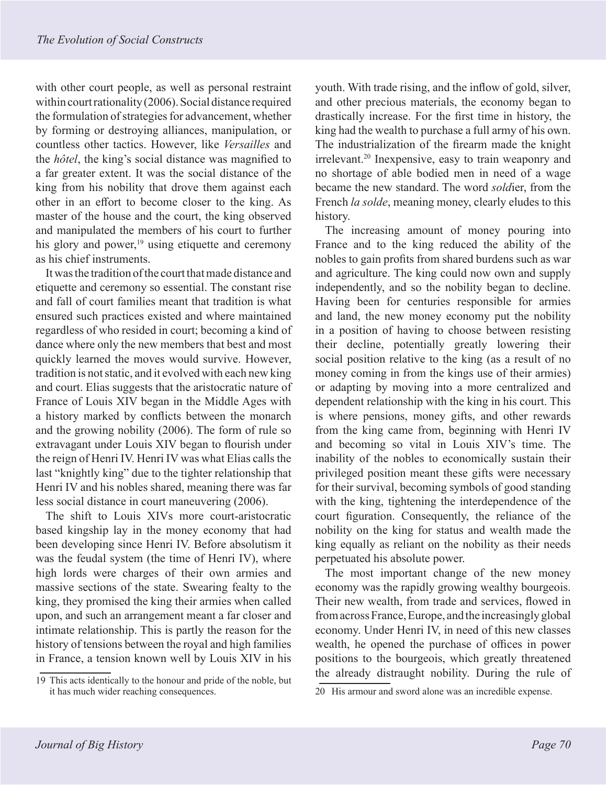with other court people, as well as personal restraint within court rationality (2006). Social distance required the formulation of strategies for advancement, whether by forming or destroying alliances, manipulation, or countless other tactics. However, like *Versailles* and the *hôtel*, the king's social distance was magnified to a far greater extent. It was the social distance of the king from his nobility that drove them against each other in an effort to become closer to the king. As master of the house and the court, the king observed and manipulated the members of his court to further his glory and power,<sup>19</sup> using etiquette and ceremony as his chief instruments.

It was the tradition of the court that made distance and etiquette and ceremony so essential. The constant rise and fall of court families meant that tradition is what ensured such practices existed and where maintained regardless of who resided in court; becoming a kind of dance where only the new members that best and most quickly learned the moves would survive. However, tradition is not static, and it evolved with each new king and court. Elias suggests that the aristocratic nature of France of Louis XIV began in the Middle Ages with a history marked by conflicts between the monarch and the growing nobility (2006). The form of rule so extravagant under Louis XIV began to flourish under the reign of Henri IV. Henri IV was what Elias calls the last "knightly king" due to the tighter relationship that Henri IV and his nobles shared, meaning there was far less social distance in court maneuvering (2006).

The shift to Louis XIVs more court-aristocratic based kingship lay in the money economy that had been developing since Henri IV. Before absolutism it was the feudal system (the time of Henri IV), where high lords were charges of their own armies and massive sections of the state. Swearing fealty to the king, they promised the king their armies when called upon, and such an arrangement meant a far closer and intimate relationship. This is partly the reason for the history of tensions between the royal and high families in France, a tension known well by Louis XIV in his

19 This acts identically to the honour and pride of the noble, but it has much wider reaching consequences.

youth. With trade rising, and the inflow of gold, silver, and other precious materials, the economy began to drastically increase. For the first time in history, the king had the wealth to purchase a full army of his own. The industrialization of the firearm made the knight irrelevant.20 Inexpensive, easy to train weaponry and no shortage of able bodied men in need of a wage became the new standard. The word *sold*ier, from the French *la solde*, meaning money, clearly eludes to this history.

The increasing amount of money pouring into France and to the king reduced the ability of the nobles to gain profits from shared burdens such as war and agriculture. The king could now own and supply independently, and so the nobility began to decline. Having been for centuries responsible for armies and land, the new money economy put the nobility in a position of having to choose between resisting their decline, potentially greatly lowering their social position relative to the king (as a result of no money coming in from the kings use of their armies) or adapting by moving into a more centralized and dependent relationship with the king in his court. This is where pensions, money gifts, and other rewards from the king came from, beginning with Henri IV and becoming so vital in Louis XIV's time. The inability of the nobles to economically sustain their privileged position meant these gifts were necessary for their survival, becoming symbols of good standing with the king, tightening the interdependence of the court figuration. Consequently, the reliance of the nobility on the king for status and wealth made the king equally as reliant on the nobility as their needs perpetuated his absolute power.

The most important change of the new money economy was the rapidly growing wealthy bourgeois. Their new wealth, from trade and services, flowed in from across France, Europe, and the increasingly global economy. Under Henri IV, in need of this new classes wealth, he opened the purchase of offices in power positions to the bourgeois, which greatly threatened the already distraught nobility. During the rule of

<sup>20</sup> His armour and sword alone was an incredible expense.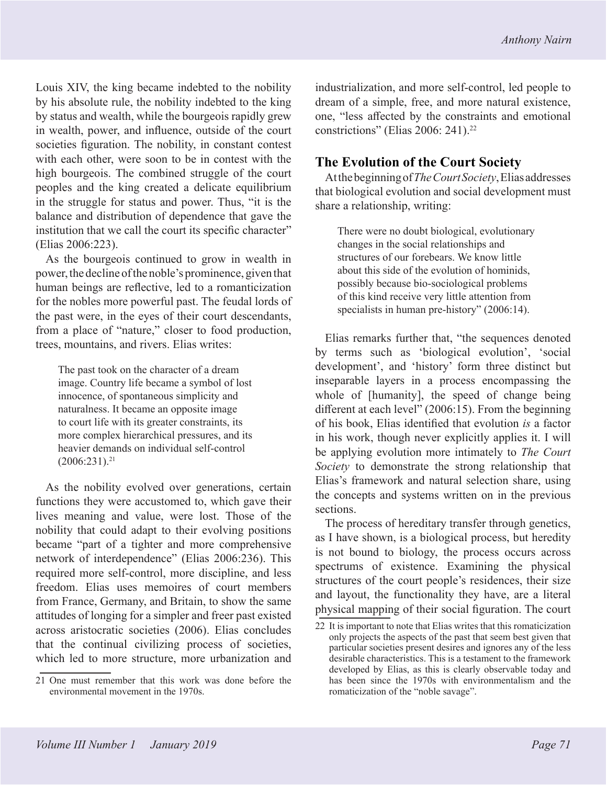*Anthony Nairn* 

Louis XIV, the king became indebted to the nobility by his absolute rule, the nobility indebted to the king by status and wealth, while the bourgeois rapidly grew in wealth, power, and influence, outside of the court societies figuration. The nobility, in constant contest with each other, were soon to be in contest with the high bourgeois. The combined struggle of the court peoples and the king created a delicate equilibrium in the struggle for status and power. Thus, "it is the balance and distribution of dependence that gave the institution that we call the court its specific character" (Elias 2006:223).

As the bourgeois continued to grow in wealth in power, the decline of the noble's prominence, given that human beings are reflective, led to a romanticization for the nobles more powerful past. The feudal lords of the past were, in the eyes of their court descendants, from a place of "nature," closer to food production, trees, mountains, and rivers. Elias writes:

The past took on the character of a dream image. Country life became a symbol of lost innocence, of spontaneous simplicity and naturalness. It became an opposite image to court life with its greater constraints, its more complex hierarchical pressures, and its heavier demands on individual self-control  $(2006:231).^{21}$ 

As the nobility evolved over generations, certain functions they were accustomed to, which gave their lives meaning and value, were lost. Those of the nobility that could adapt to their evolving positions became "part of a tighter and more comprehensive network of interdependence" (Elias 2006:236). This required more self-control, more discipline, and less freedom. Elias uses memoires of court members from France, Germany, and Britain, to show the same attitudes of longing for a simpler and freer past existed across aristocratic societies (2006). Elias concludes that the continual civilizing process of societies, which led to more structure, more urbanization and

industrialization, and more self-control, led people to dream of a simple, free, and more natural existence, one, "less affected by the constraints and emotional constrictions" (Elias 2006: 241).<sup>22</sup>

# **The Evolution of the Court Society**

At the beginning of *The Court Society*, Elias addresses that biological evolution and social development must share a relationship, writing:

There were no doubt biological, evolutionary changes in the social relationships and structures of our forebears. We know little about this side of the evolution of hominids, possibly because bio-sociological problems of this kind receive very little attention from specialists in human pre-history" (2006:14).

Elias remarks further that, "the sequences denoted by terms such as 'biological evolution', 'social development', and 'history' form three distinct but inseparable layers in a process encompassing the whole of [humanity], the speed of change being different at each level" (2006:15). From the beginning of his book, Elias identified that evolution *is* a factor in his work, though never explicitly applies it. I will be applying evolution more intimately to *The Court Society* to demonstrate the strong relationship that Elias's framework and natural selection share, using the concepts and systems written on in the previous sections.

The process of hereditary transfer through genetics, as I have shown, is a biological process, but heredity is not bound to biology, the process occurs across spectrums of existence. Examining the physical structures of the court people's residences, their size and layout, the functionality they have, are a literal physical mapping of their social figuration. The court

<sup>21</sup> One must remember that this work was done before the environmental movement in the 1970s.

<sup>22</sup> It is important to note that Elias writes that this romaticization only projects the aspects of the past that seem best given that particular societies present desires and ignores any of the less desirable characteristics. This is a testament to the framework developed by Elias, as this is clearly observable today and has been since the 1970s with environmentalism and the romaticization of the "noble savage".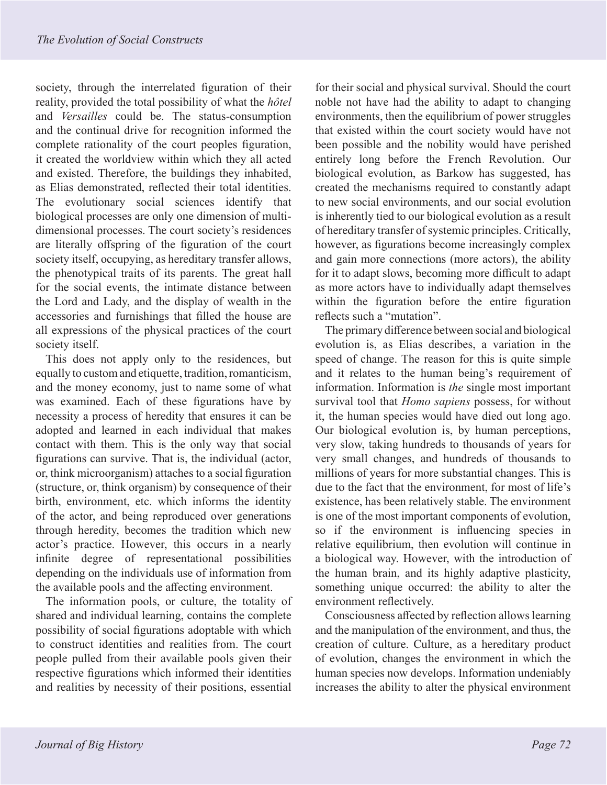society, through the interrelated figuration of their reality, provided the total possibility of what the *hôtel* and *Versailles* could be. The status-consumption and the continual drive for recognition informed the complete rationality of the court peoples figuration, it created the worldview within which they all acted and existed. Therefore, the buildings they inhabited, as Elias demonstrated, reflected their total identities. The evolutionary social sciences identify that biological processes are only one dimension of multidimensional processes. The court society's residences are literally offspring of the figuration of the court society itself, occupying, as hereditary transfer allows, the phenotypical traits of its parents. The great hall for the social events, the intimate distance between the Lord and Lady, and the display of wealth in the accessories and furnishings that filled the house are all expressions of the physical practices of the court society itself.

This does not apply only to the residences, but equally to custom and etiquette, tradition, romanticism, and the money economy, just to name some of what was examined. Each of these figurations have by necessity a process of heredity that ensures it can be adopted and learned in each individual that makes contact with them. This is the only way that social figurations can survive. That is, the individual (actor, or, think microorganism) attaches to a social figuration (structure, or, think organism) by consequence of their birth, environment, etc. which informs the identity of the actor, and being reproduced over generations through heredity, becomes the tradition which new actor's practice. However, this occurs in a nearly infinite degree of representational possibilities depending on the individuals use of information from the available pools and the affecting environment.

The information pools, or culture, the totality of shared and individual learning, contains the complete possibility of social figurations adoptable with which to construct identities and realities from. The court people pulled from their available pools given their respective figurations which informed their identities and realities by necessity of their positions, essential

for their social and physical survival. Should the court noble not have had the ability to adapt to changing environments, then the equilibrium of power struggles that existed within the court society would have not been possible and the nobility would have perished entirely long before the French Revolution. Our biological evolution, as Barkow has suggested, has created the mechanisms required to constantly adapt to new social environments, and our social evolution is inherently tied to our biological evolution as a result of hereditary transfer of systemic principles. Critically, however, as figurations become increasingly complex and gain more connections (more actors), the ability for it to adapt slows, becoming more difficult to adapt as more actors have to individually adapt themselves within the figuration before the entire figuration reflects such a "mutation".

The primary difference between social and biological evolution is, as Elias describes, a variation in the speed of change. The reason for this is quite simple and it relates to the human being's requirement of information. Information is *the* single most important survival tool that *Homo sapiens* possess, for without it, the human species would have died out long ago. Our biological evolution is, by human perceptions, very slow, taking hundreds to thousands of years for very small changes, and hundreds of thousands to millions of years for more substantial changes. This is due to the fact that the environment, for most of life's existence, has been relatively stable. The environment is one of the most important components of evolution, so if the environment is influencing species in relative equilibrium, then evolution will continue in a biological way. However, with the introduction of the human brain, and its highly adaptive plasticity, something unique occurred: the ability to alter the environment reflectively.

Consciousness affected by reflection allows learning and the manipulation of the environment, and thus, the creation of culture. Culture, as a hereditary product of evolution, changes the environment in which the human species now develops. Information undeniably increases the ability to alter the physical environment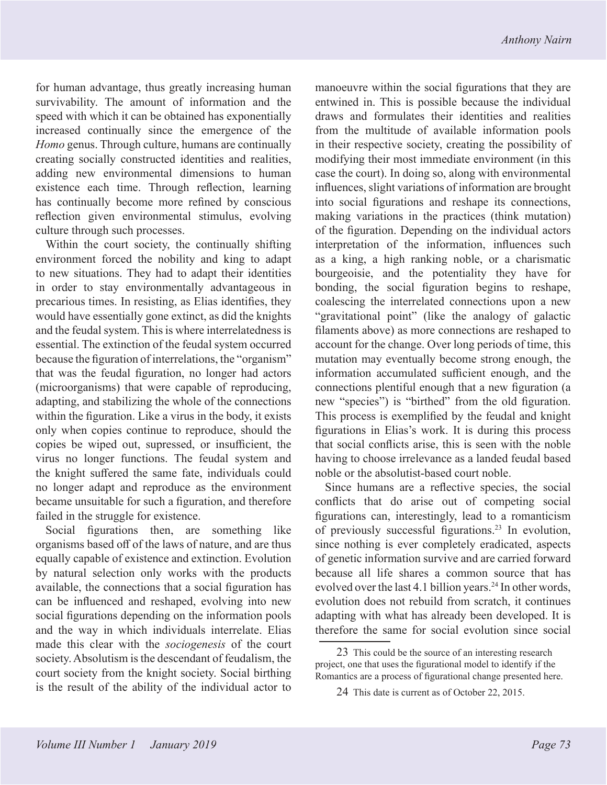for human advantage, thus greatly increasing human survivability. The amount of information and the speed with which it can be obtained has exponentially increased continually since the emergence of the *Homo* genus. Through culture, humans are continually creating socially constructed identities and realities, adding new environmental dimensions to human existence each time. Through reflection, learning has continually become more refined by conscious reflection given environmental stimulus, evolving culture through such processes.

Within the court society, the continually shifting environment forced the nobility and king to adapt to new situations. They had to adapt their identities in order to stay environmentally advantageous in precarious times. In resisting, as Elias identifies, they would have essentially gone extinct, as did the knights and the feudal system. This is where interrelatedness is essential. The extinction of the feudal system occurred because the figuration of interrelations, the "organism" that was the feudal figuration, no longer had actors (microorganisms) that were capable of reproducing, adapting, and stabilizing the whole of the connections within the figuration. Like a virus in the body, it exists only when copies continue to reproduce, should the copies be wiped out, supressed, or insufficient, the virus no longer functions. The feudal system and the knight suffered the same fate, individuals could no longer adapt and reproduce as the environment became unsuitable for such a figuration, and therefore failed in the struggle for existence.

Social figurations then, are something like organisms based off of the laws of nature, and are thus equally capable of existence and extinction. Evolution by natural selection only works with the products available, the connections that a social figuration has can be influenced and reshaped, evolving into new social figurations depending on the information pools and the way in which individuals interrelate. Elias made this clear with the *sociogenesis* of the court society. Absolutism is the descendant of feudalism, the court society from the knight society. Social birthing is the result of the ability of the individual actor to

manoeuvre within the social figurations that they are entwined in. This is possible because the individual draws and formulates their identities and realities from the multitude of available information pools in their respective society, creating the possibility of modifying their most immediate environment (in this case the court). In doing so, along with environmental influences, slight variations of information are brought into social figurations and reshape its connections, making variations in the practices (think mutation) of the figuration. Depending on the individual actors interpretation of the information, influences such as a king, a high ranking noble, or a charismatic bourgeoisie, and the potentiality they have for bonding, the social figuration begins to reshape, coalescing the interrelated connections upon a new "gravitational point" (like the analogy of galactic filaments above) as more connections are reshaped to account for the change. Over long periods of time, this mutation may eventually become strong enough, the information accumulated sufficient enough, and the connections plentiful enough that a new figuration (a new "species") is "birthed" from the old figuration. This process is exemplified by the feudal and knight figurations in Elias's work. It is during this process that social conflicts arise, this is seen with the noble having to choose irrelevance as a landed feudal based noble or the absolutist-based court noble.

Since humans are a reflective species, the social conflicts that do arise out of competing social figurations can, interestingly, lead to a romanticism of previously successful figurations.23 In evolution, since nothing is ever completely eradicated, aspects of genetic information survive and are carried forward because all life shares a common source that has evolved over the last 4.1 billion years.<sup>24</sup> In other words, evolution does not rebuild from scratch, it continues adapting with what has already been developed. It is therefore the same for social evolution since social

<sup>23</sup> This could be the source of an interesting research project, one that uses the figurational model to identify if the Romantics are a process of figurational change presented here.

<sup>24</sup> This date is current as of October 22, 2015.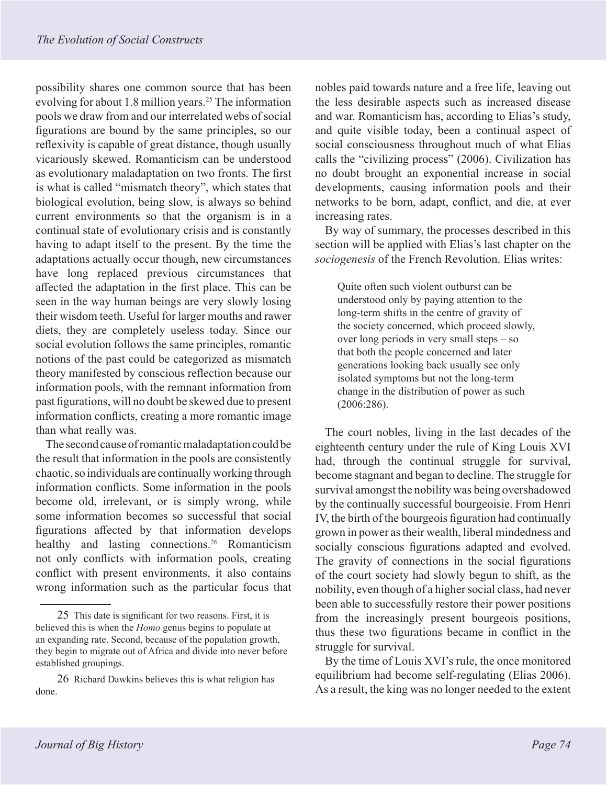possibility shares one common source that has been evolving for about 1.8 million years.<sup>25</sup> The information pools we draw from and our interrelated webs of social figurations are bound by the same principles, so our reflexivity is capable of great distance, though usually vicariously skewed. Romanticism can be understood as evolutionary maladaptation on two fronts. The first is what is called "mismatch theory", which states that biological evolution, being slow, is always so behind current environments so that the organism is in a continual state of evolutionary crisis and is constantly having to adapt itself to the present. By the time the adaptations actually occur though, new circumstances have long replaced previous circumstances that affected the adaptation in the first place. This can be seen in the way human beings are very slowly losing their wisdom teeth. Useful for larger mouths and rawer diets, they are completely useless today. Since our social evolution follows the same principles, romantic notions of the past could be categorized as mismatch theory manifested by conscious reflection because our information pools, with the remnant information from past figurations, will no doubt be skewed due to present information conflicts, creating a more romantic image than what really was.

The second cause of romantic maladaptation could be the result that information in the pools are consistently chaotic, so individuals are continually working through information conflicts. Some information in the pools become old, irrelevant, or is simply wrong, while some information becomes so successful that social figurations affected by that information develops healthy and lasting connections.<sup>26</sup> Romanticism not only conflicts with information pools, creating conflict with present environments, it also contains wrong information such as the particular focus that

nobles paid towards nature and a free life, leaving out the less desirable aspects such as increased disease and war. Romanticism has, according to Elias's study, and quite visible today, been a continual aspect of social consciousness throughout much of what Elias calls the "civilizing process" (2006). Civilization has no doubt brought an exponential increase in social developments, causing information pools and their networks to be born, adapt, conflict, and die, at ever increasing rates.

By way of summary, the processes described in this section will be applied with Elias's last chapter on the *sociogenesis* of the French Revolution. Elias writes:

Quite often such violent outburst can be understood only by paying attention to the long-term shifts in the centre of gravity of the society concerned, which proceed slowly, over long periods in very small steps – so that both the people concerned and later generations looking back usually see only isolated symptoms but not the long-term change in the distribution of power as such (2006:286).

The court nobles, living in the last decades of the eighteenth century under the rule of King Louis XVI had, through the continual struggle for survival, become stagnant and began to decline. The struggle for survival amongst the nobility was being overshadowed by the continually successful bourgeoisie. From Henri IV, the birth of the bourgeois figuration had continually grown in power as their wealth, liberal mindedness and socially conscious figurations adapted and evolved. The gravity of connections in the social figurations of the court society had slowly begun to shift, as the nobility, even though of a higher social class, had never been able to successfully restore their power positions from the increasingly present bourgeois positions, thus these two figurations became in conflict in the struggle for survival.

By the time of Louis XVI's rule, the once monitored equilibrium had become self-regulating (Elias 2006). As a result, the king was no longer needed to the extent

<sup>25</sup> This date is significant for two reasons. First, it is believed this is when the *Homo* genus begins to populate at an expanding rate. Second, because of the population growth, they begin to migrate out of Africa and divide into never before established groupings.

<sup>26</sup> Richard Dawkins believes this is what religion has done.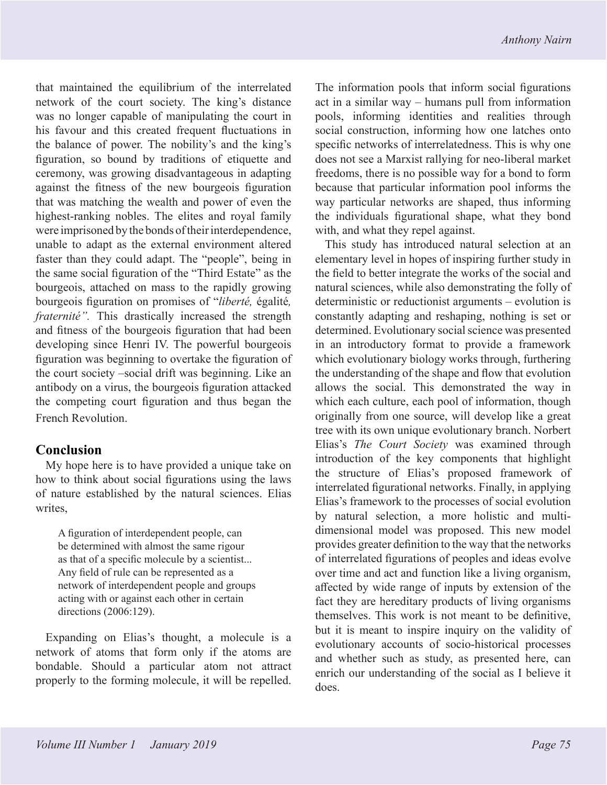that maintained the equilibrium of the interrelated network of the court society. The king's distance was no longer capable of manipulating the court in his favour and this created frequent fluctuations in the balance of power. The nobility's and the king's figuration, so bound by traditions of etiquette and ceremony, was growing disadvantageous in adapting against the fitness of the new bourgeois figuration that was matching the wealth and power of even the highest-ranking nobles. The elites and royal family were imprisoned by the bonds of their interdependence, unable to adapt as the external environment altered faster than they could adapt. The "people", being in the same social figuration of the "Third Estate" as the bourgeois, attached on mass to the rapidly growing bourgeois figuration on promises of "*liberté,* égalité*, fraternité".* This drastically increased the strength and fitness of the bourgeois figuration that had been developing since Henri IV. The powerful bourgeois figuration was beginning to overtake the figuration of the court society –social drift was beginning. Like an antibody on a virus, the bourgeois figuration attacked the competing court figuration and thus began the French Revolution.

# **Conclusion**

My hope here is to have provided a unique take on how to think about social figurations using the laws of nature established by the natural sciences. Elias writes,

A figuration of interdependent people, can be determined with almost the same rigour as that of a specific molecule by a scientist... Any field of rule can be represented as a network of interdependent people and groups acting with or against each other in certain directions (2006:129).

Expanding on Elias's thought, a molecule is a network of atoms that form only if the atoms are bondable. Should a particular atom not attract properly to the forming molecule, it will be repelled.

The information pools that inform social figurations act in a similar way – humans pull from information pools, informing identities and realities through social construction, informing how one latches onto specific networks of interrelatedness. This is why one does not see a Marxist rallying for neo-liberal market freedoms, there is no possible way for a bond to form because that particular information pool informs the way particular networks are shaped, thus informing the individuals figurational shape, what they bond with, and what they repel against.

This study has introduced natural selection at an elementary level in hopes of inspiring further study in the field to better integrate the works of the social and natural sciences, while also demonstrating the folly of deterministic or reductionist arguments – evolution is constantly adapting and reshaping, nothing is set or determined. Evolutionary social science was presented in an introductory format to provide a framework which evolutionary biology works through, furthering the understanding of the shape and flow that evolution allows the social. This demonstrated the way in which each culture, each pool of information, though originally from one source, will develop like a great tree with its own unique evolutionary branch. Norbert Elias's *The Court Society* was examined through introduction of the key components that highlight the structure of Elias's proposed framework of interrelated figurational networks. Finally, in applying Elias's framework to the processes of social evolution by natural selection, a more holistic and multidimensional model was proposed. This new model provides greater definition to the way that the networks of interrelated figurations of peoples and ideas evolve over time and act and function like a living organism, affected by wide range of inputs by extension of the fact they are hereditary products of living organisms themselves. This work is not meant to be definitive, but it is meant to inspire inquiry on the validity of evolutionary accounts of socio-historical processes and whether such as study, as presented here, can enrich our understanding of the social as I believe it does.